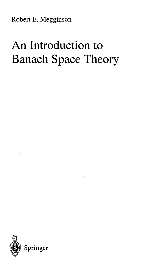Robert E. Megginson

## An Introduction to Banach Space Theory

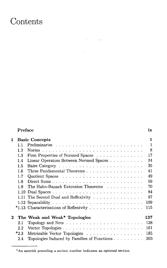## **Contents**

|   | Preface |                                                                    | ix  |
|---|---------|--------------------------------------------------------------------|-----|
| 1 |         | <b>Basic Concepts</b>                                              | 1   |
|   | 11      |                                                                    | 1   |
|   | 1.2     |                                                                    | 8   |
|   | 1.3     | First Properties of Normed Spaces                                  | 17  |
|   | 1.4     | Linear Operators Between Normed Spaces                             | 24  |
|   | $1.5\,$ |                                                                    | 35  |
|   | 1.6     | Three Fundamental Theorems                                         | 41  |
|   | 1.7     | Quotient Spaces $\ldots \ldots \ldots \ldots \ldots \ldots \ldots$ | 49  |
|   | 1.8     |                                                                    | 59  |
|   | 19      | The Hahn-Banach Extension Theorems                                 | 70  |
|   | 1.10    |                                                                    | 84  |
|   |         | 1.11 The Second Dual and Reflexivity                               | 97  |
|   |         |                                                                    | 109 |
|   |         | *1.13 Characterizations of Reflexivity                             | 115 |
| 2 |         | The Weak and Weak* Topologies                                      | 137 |
|   | 2.1     |                                                                    | 138 |
|   | $2.2\,$ |                                                                    | 161 |
|   | $*2.3$  | Metrizable Vector Topologies                                       | 185 |
|   | 2.4     | Topologies Induced by Families of Functions                        | 203 |

المتفقي المناف

\*An asterisk preceding a section number indicates an optional section.